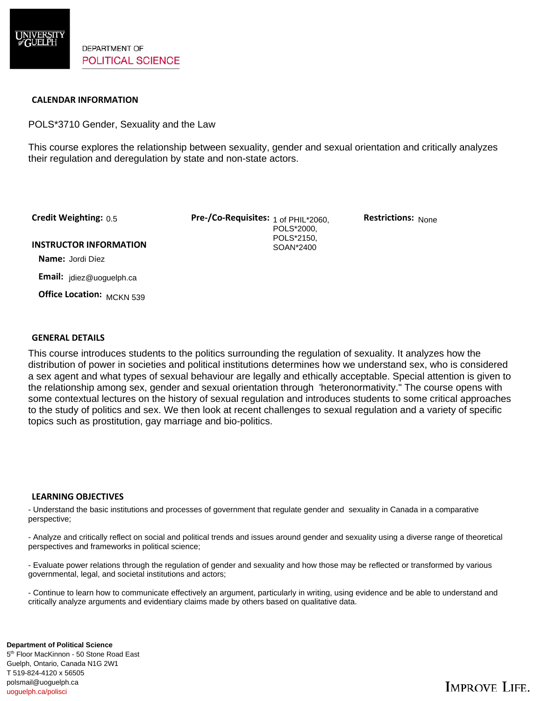

### **CALENDAR INFORMATION**

POLS\*3710 Gender, Sexuality and the Law

This course explores the relationship between sexuality, gender and sexual orientation and critically analyzes their regulation and deregulation by state and non-state actors.

Credit Weighting: 0.5

**Credit Weighting:** 0.5 **Pre-/Co-Requisites:** 1 of PHIL\*2060, **Restrictions:** POLS\*2000, POLS\*2150, SOAN\*2400

**Restrictions: None** 

#### **INSTRUCTOR INFORMATION**

 **Name:** Jordi Díez

 **Email:** jdiez@uoguelph.ca

 **Office Location:**  MCKN 539

### **GENERAL DETAILS**

This course introduces students to the politics surrounding the regulation of sexuality. It analyzes how the distribution of power in societies and political institutions determines how we understand sex, who is considered a sex agent and what types of sexual behaviour are legally and ethically acceptable. Special attention is given to the relationship among sex, gender and sexual orientation through 'heteronormativity." The course opens with some contextual lectures on the history of sexual regulation and introduces students to some critical approaches to the study of politics and sex. We then look at recent challenges to sexual regulation and a variety of specific topics such as prostitution, gay marriage and bio-politics.

### **LEARNING OBJECTIVES**

- Understand the basic institutions and processes of government that regulate gender and sexuality in Canada in a comparative perspective;

- Analyze and critically reflect on social and political trends and issues around gender and sexuality using a diverse range of theoretical perspectives and frameworks in political science;

- Evaluate power relations through the regulation of gender and sexuality and how those may be reflected or transformed by various governmental, legal, and societal institutions and actors;

- Continue to learn how to communicate effectively an argument, particularly in writing, using evidence and be able to understand and critically analyze arguments and evidentiary claims made by others based on qualitative data.

5<sup>th</sup> Floor MacKinnon - 50 Stone Road East Guelph, Ontario, Canada N1G 2W1 **Department of Political Science**  T 519-824-4120 x 56505 polsmail@uoguelph.ca uoguelph.ca/polisci

# **IMPROVE LIFE.**